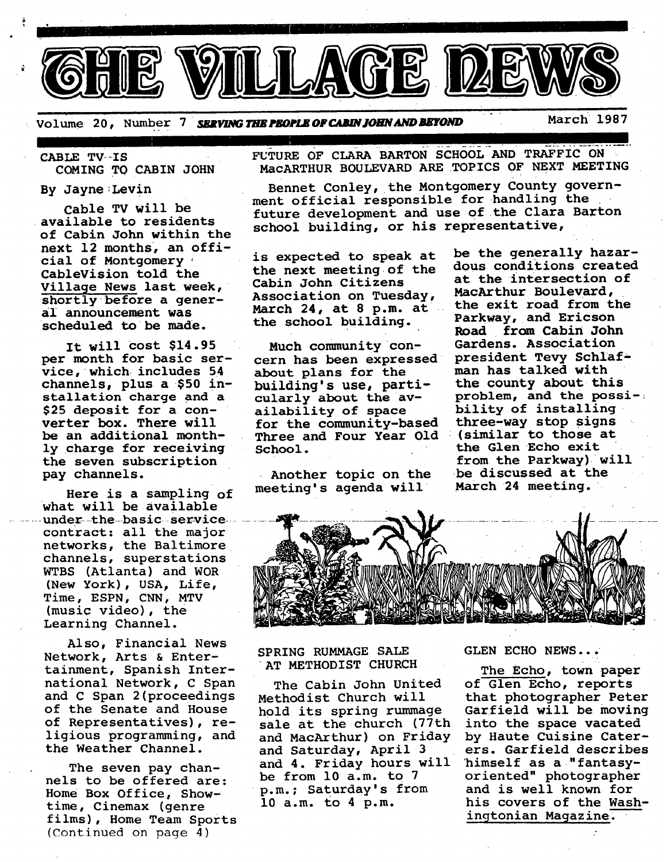

Volume 20, Number 7 **SERVING THE PEOPLE OF CABIN JOHN AND BEYOND** March 1987

CABLE TV-IS

q

COMING TO CABIN JOHN

By Jayne;Levin

Cable TV will be available to residents of Cabin John within the next 12 months, an official of Montgomery. CableVision told the Village News last week, shortly before a generaI announcement was scheduled to be made.

It will Cost \$14.95 per month for basic service, which includes 54 channels, plus **a \$50** installation charge and a \$25 deposit for a converter box. There will be an additional monthly charge for receiving the seven subscription pay channels.

Here is a sampling of what will be available under the basic service... contract: all the major networks, the Baltimore channels, superstations WTBS (Atlanta) and WOR (New York), USA, Life, Time, ESPN, CNN, MTV (music video), the Learning Channel.

Also, Financial News Network, Arts & Entertainment, Spanish International Network, C Span and C Span 2(proceedings of the Senate and House of Representatives), religious programming, and the Weather Channel.

The seven pay channels to be offered are: Home Box Office, Showtime, Cinemax (genre films), Home Team Sports (Continued on page 4)

FUTURE OF CLARA BARTON SCHOOL AND TRAFFIC ON MACARTHUR BOULEVARD ARE TOPICS OF NEXT MEETING

Bennet Conley, the Montgomery County government official responsible for handling the future development and use of the Clara Barton school building, or his representative,

is expected to speak at the next meeting of the Cabin John Citizens Association on Tuesday, March 24, at 8 p.m. at the school building.

Much community concern has been expressed about plans for the building's use, particularly about the availability of space for the community-based Three and Four Year Old school. the Glen Echo exit

Another topic on the meeting's agenda will

be the generally hazardous conditions created at the intersection of MacArthur Boulevard, the exit road from the Parkway, and Ericson **Road from Cabin John**  Gardens. Association president Tevy Schlafman has talked with the county about this problem, and the possi-; bility of installing three-way stop signs<br>(similar to those at from the Parkway) will be discussed at the March 24 meeting.



SPRING RUMMAGE SALE AT METHODIST CHURCH

The Cabin John United Methodist Church will hold its spring rummage sale at the church (77th and MacArthur) on Friday and Saturday, April 3 ers. Garfield describes and 4. Friday hours will himself as a "fantasybe from I0 a.m. to 7 oriented" photographer p.m.; Saturday's from and is well known for 10 a.m. to 4 p.m. his covers of the Wash-

#### GLEN ECHO NEWS... •

The Echo, town paper of Glen Echo, reports that photographer Peter Garfield will be moving into the space vacated by Haute Cuisine Cateringtonian Magazine.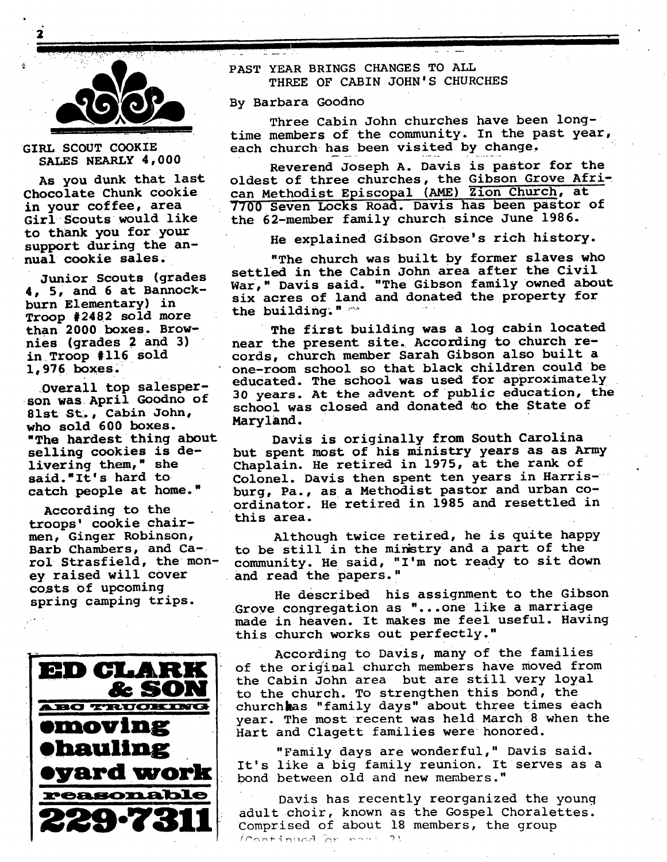

GIRL SCOUT COOKIE SALES NEARLY 4,000

AS you dunk that last Chocolate Chunk cookie in your coffee, area Girl Scouts would like to thank you for your support during the annual **cookie sales.** 

Junior Scouts (grades **4, 5, and 6 at** Bannockburn Elementary) in Troop #2482 sold more **than 2000 boxes. Brownies (grades 2 and 3)**  in Troop #116 Sold 1,976 boxes.

Dverall *top* salesperson was April Goodno of 81st St., Cabin John, who sold 600 boxes. "The hardest thing about **selling cookies is** delivering them," she said."It's hard to catch people at home."

According to the troops' cookie chairmen, Ginger Robinson, Barb Chambers, and Carol Strasfield, the money raised will cover costs of upcoming spring camping trips.



PAST YEAR BRINGS CHANGES TO ALL THREE OF CABIN JOHN'S CHURCHES

By Barbara Goodno

Three Cabin John churches have been longtime members of the community. In the past year, each church has been visited by change,

Reverend Joseph A. Davis is pastor for the oldest of three churches, the Gibson Grove African Methodist Episcopal (AME) Zion Church, at 7700 Seven Locks Road. Davis has been pastor of the 62-member family church since June 1986.

He explained Gibson Grove's rich history.

"The church was built by former slaves who settled in the Cabin John area after the **Civil**  War," Davis said. "The Gibson family owned about six acres of land and donated the property for the building:  $"$   $"$ 

The first building was a log cabin located near the present site. According to church records, church member Sarah Gibson also built a one-room school so that black children could be educated. The school was used for approximately 30 years. At the advent of public education, the school was closed and donated to the State of Maryland.

Davis is originally from South Carolina but spent most of his ministry years as as Army Chaplain. He retired in 1975, at the rank of Colonel. Davis then spent ten years in Harrisburg, Pa., as a Methodist pastor and urban coordinator. He retired in 1985 and resettled in this area.

Although twice retired, he is quite happy to be still in the miristry and a part of the community. He said, "I'm not ready to sit down and read the papers."

He described his assignment to the Gibson Grove congregation as "...one like a marriage made in heaven. It makes me feel useful. Having this church works out perfectly."

According to Davis, many of the families of the original church members have moved from the Cabin John area but are still very loyal to the church. To strengthen this bond, the churchhas "family days" about three times each year. The most recent was held March 8 when the Hart and Clagett families were honored.

"Family days are wonderful," Davis said. It's like a big family reunion. It serves as a bond between old and new members."

Davis has recently reorganized the young adult choir, known as the Gospel Choralettes. Comprised of about 18 members, the group Continued or room ?!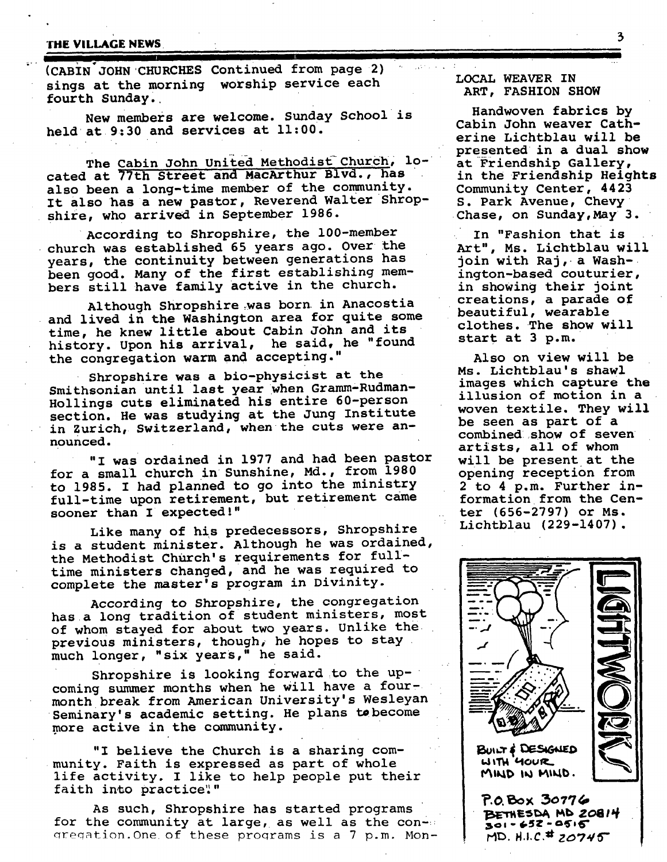# THE VILLAGE NEWS **Fig. 2**  $\frac{3}{2}$

(CABIN JOHN CHURCHES Continued from page 2) sings at the morning worship service each fourth Sunday.

New members are welcome. Sunday School is held at  $9:30$  and services at  $11:00$ .

I IIII

The Cabin John United Methodist Church, located at 77th Street and MacArthur Blvd., has also been a long-time member of the community. It also has a new pastor, Reverend Walter Shropshire, who arrived in September 1986.

According to Shropshire, the 100-member • church was established 65 years ago. Over the years, the continuity between generations has been good. Many of the first establishing members still have family active in the church.

Although Shropshire was born in Anacostia and lived in the Washington area for quite some time, he knew little about Cabin John and its history. Upon his arrival, he said, he "found the congregation warm and accepting."

Shropshire was a bio-physicist at the Smithsonian until last year when Gramm-Rudman-Hollings cuts eliminated his entire 60-person section. He was studying at the Jung Institute in Zurich, Switzerland, when the cuts were announced.

"I was ordained in 1977 and had been pastor for a small church in Sunshine, Md., from 1980 to 1985. I had planned to go into the ministry full-time upon retirement, but retirement came sooner than I expected!"

Like many of his predecessors, Shropshire is a student minister. Although he was ordained, the Methodist Church's requirements for fulltime ministers changed, and he was required to complete the master's program in Divinity.

According to Shropshire, the congregation has a long tradition of student ministers, most of whom stayed for about two years. Unlike the previous ministers, though, he hopes to stay much longer, "six years," he said.

Shropshire is looking forward to the upcoming summer months when he will have a fourmonth break from American University's Wesleyan Seminary's academic setting. He plans to become more active in the community.

"I believe the Church is a sharing community. Faith is expressed as part of whole life activity. I like to help people put their faith into practice".

As such, Shropshire has started programs for the community at large, as well as the con- $\cdots$ gregation. One of these programs is a 7 p.m. Mon-

## LOCAL WEAVER IN ART, FASHION SHOW

Handwoven fabrics by Cabin John weaver Catherine Lichtblau will be presented in a dual show at Friendship Gallery, in the Friendship Heights Community Center, 4423 S. Park Avenue, Chevy Chase, on Sunday,May 3.

In "Fashion that is Art", Ms. Lichtblau will join with Raj, a Washington-based couturier, in showing their joint creations, a parade of beautiful, wearable clothes. The show will start at 3 p.m.

Also on view will be Ms. Lichtblau's shawl images which capture **the**  illusion of motion in a woven textile. They will be seen as part of a combined show of seven artists, all of whom will be present at the opening reception from 2 to 4 p.m. Further information from the Center (656-2797) or Ms. Lichtblau (229-1407).

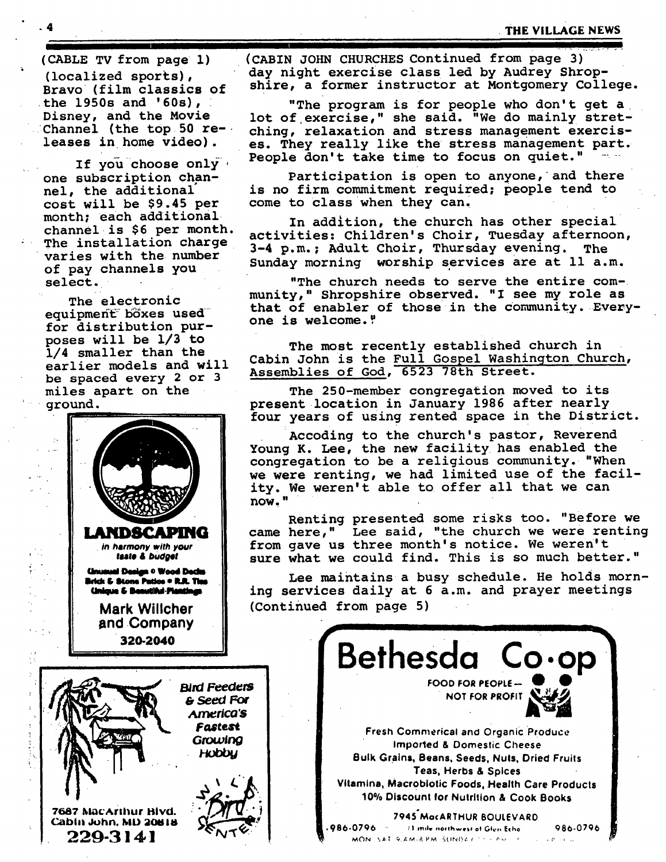for distribution purposes will be 1/3 to<br>1/4 smaller than the



(CABLE TV from page 1) (CABIN JOHN CHURCHES Continued from page 3) (localized sports), day night exercise class led by Audrey Shrop-Bravo (film classics of shire, a former instructor at Montgomery College.

the 1950s and '60s), "The program is for people who don't get a<br>Disney, and the Movie lot of exercise." she said. "We do mainly stret-Disney, and the Movie lot of exercise," she said. "We do mainly stret-<br>Channel (the top 50 re- ching, relaxation and stress management exercis-Channel (the top 50 re- ching, relaxation and stress management exercis-<br>leases in home video). es, They really like the stress management part. es. They really like the stress management part. If you choose only . People don't take time to focus on quiet."

one subscription chan- Participation is open to anyone, and there nel, the additional is no firm commitment required; people tend to cost will be \$9.45 per come to class when they can.

month; each additional<br>channel is \$6 per month, estimition, childrenla Chair, muodeu afternoor channel is  $96$  per month.<br>The installation charge  $\begin{array}{cc} 2.4 \text{ m/s} & \text{d} \text{m/s} \\ 2.4 \text{ m/s} & \text{d} \text{m/s} \end{array}$  Thursday overing The The installation charge 3-4 p.m.; Adult Choir, Thursday evening. The varies with the number varies with the number<br>of pay channels you Sunday morning worship services are at 11 a.m.

select. The church needs to serve the entire com-The electronic munity," Shropshire observed. "I see my role as The efectionic<br>equipment boxes used that of enabler of those in the community. Every-<br>one is welcome."

The most recently established church in 1/4 smaller than the<br>earlier models and will Cabin John is the Full Gospel Washington Church, earlier models and will<br>be spaced every 2 or 3 Assemblies of God, 6523 78th Street.

miles apart on the The 250-member congregation moved to its ground, present location in January 1986 after nearly four years of using rented space in the District.

> Accoding to the church's pastor, Reverend Young K. Lee, the new facility has enabled the congregation to be a religious community. "When we were renting, we had limited use of the facility. We weren't able to offer all that we can now."

Renting presented some risks too. "Before we **LANDSCAPING** | came here," Lee said, "the church we were renting *in harmony with your* **from gave us three month's notice. We weren't**<br> *taste & budget* **exists** sure what we could find. This is so much bett. sure what we could find. This is so much better."

Unusual Design • Wood Dedus<br>**Brick 6 Stone Putios • R.R. Thes**<br>Unique 6 Beautiful Pientings in a services daily at 6 a.m. and prayer meetings ing services daily at 6 a.m. and prayer meetings Mark Willcher | (Continued from page 5)

**r** •

**| Bethesda Co.op] FOOD FOR PEOPLE-**NOT FOR PROFIT

Fastest Fastest Fresh Commerical and Organic Produce **in** *imported & Domestic Cheese*<br>**HODDU Bulk Crains Boans Soads Alute Drie** Bulk Grains, Beans. Seeds. Nuts. Dried Fruits " **" " . J II "** Teas, Herbs & Spices **• I I Vitamins0** *Macrobiotic* **Foods, Health Care Products ! 10% Discount for Nutrition & Cook Books** 

7687 MacArthur Bivd. " **1998 Mac Arthur Bivd " 1998-0796**<br>Cabin John, MD 20818 (2009) , 986-0796 (1 mile northwest of Glen Echo (200796)  $229.3141$   $229.6$   $\sqrt{6}$   $\sqrt{100}$   $\sqrt{100}$   $\sqrt{100}$   $\sqrt{100}$   $\sqrt{100}$   $\sqrt{100}$   $\sqrt{100}$   $\sqrt{100}$   $\sqrt{100}$ **229-.3141 -"~'~" I ~ "** ~o. ,,,, o.,~..~.,~ *~,,~,,;,, ............. ~.*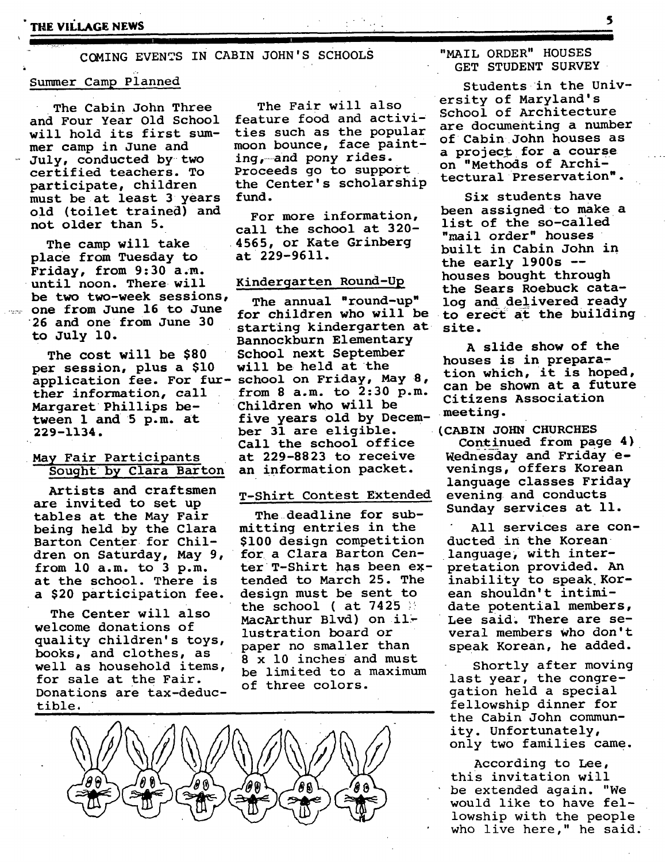COMING EVENTS IN CABIN JOHN'S sCHOOLS

#### Summer Camp Pianned

The Cabin John Three and Four Year Old School will hold its first summer camp in June and July, conducted by two certified teachers. To participate, children must be at least 3 years old (toilet trained) and not older than 5.

The camp will take place from Tuesday to Friday, from 9:30 a.m. until noon. There will be two two-week sessions, one from June 16 to June 26 and one from June 30 to July i0.

> The cost will be \$80<br>per session, plus a \$10 per session, plus a \$10 will be held at the tiouses is in preparal.<br>application fee. For fur- school on Friday, May 8, can be shown at a future application fee. For fur- school on Friday,  $M_X$  of can be shown at a future<br>ther information, call from 8 a.m. to 2:30 p.m. citicana resociation Margaret Phillips be-<br>tween 1 and 5 p.m. at 229-1134.

## May Fair Participants Sought by Clara Barton

Artists and craftsmen are invited to set up tables at the May Fair being held by the Clara Barton Center for Children on Saturday, May 9, from i0 a.m. to 3 p.m. at the school. There is a \$20 participation fee.

The Center will also welcome donations of quality children's toys, books, and clothes, as well as household items, for sale at the Fair. Donations are tax-deductible.

The Fair will also feature food and activities such as the popular moon bounce, face painting,--and pony rides. Proceeds go to support the Center's scholarship fund.

For more information, call the school at 320- • 4565, or Kate Grinberg at 229-9611.

#### Kindergarten Round-Up

The annual "round-up" log and delivered ready<br>for children who will be to erect at the building starting kindergarten at site. Bannockburn Elementary Bannockburn Elementary<br>School next September A slide show of the them call from 2:30 p.m. Citizens Association thruich who will be meeting. ber 31 are eligible. Call the school office at 229-8823 to receive an information packet.

#### T-Shirt Contest Extended

The deadline for submitting entries in the \$i00 design competition for a Clara Barton Center T-Shirt has been extended to March 25. The design must be sent to the school ( at  $7425$   $\%$ MacArthur Blvd) on il~ lustration board or paper no smaller than 8 x i0 inches and must be limited to a maximum of three colors.



"MAIL ORDER" HOUSES GET STUDENT SURVEY

**i** 

Students in the University of Maryland's School of Architecture are documenting a number of Cabin John houses as a project for a course on "Methods of Architectural Preservation".

Six students have been assigned to make a list of the so-called "mail order" houses built in Cabin John in the early  $1900s$  -houses bought through the Sears Roebuck catato erect at the building

houses is in prepara-

**(CABIN JOHN CHURCHES** 

Continued from page 4) Wednesday and Friday evenings, offers Korean language classes Friday evening and conducts Sunday services at 11.

All services are conducted in the Korean language, with interpretation provided. An inability to speak Korean shouldn't intimidate potential members, Lee said. There are several members Who don't speak Korean, he added.

Shortly after moving last year, the congregation held a special fellowship dinner for the Cabin John community. Unfortunately, only two families came.

According to Lee, this invitation will be extended again. "We would like to have fellowship with the people who live here," he said.